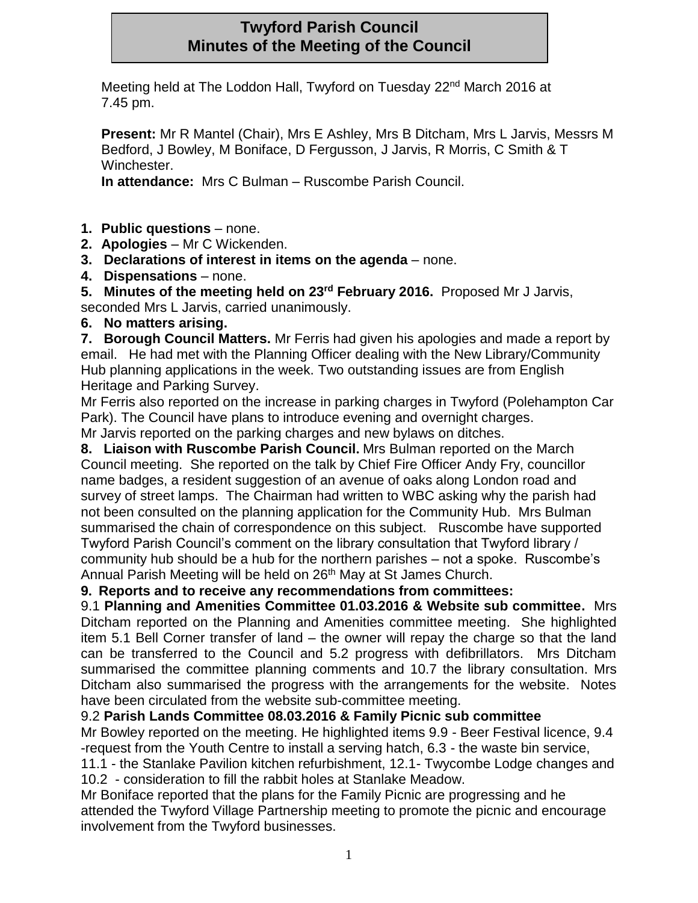# **Twyford Parish Council Minutes of the Meeting of the Council**

Meeting held at The Loddon Hall, Twyford on Tuesday 22nd March 2016 at 7.45 pm.

**Present:** Mr R Mantel (Chair), Mrs E Ashley, Mrs B Ditcham, Mrs L Jarvis, Messrs M Bedford, J Bowley, M Boniface, D Fergusson, J Jarvis, R Morris, C Smith & T Winchester.

**In attendance:** Mrs C Bulman – Ruscombe Parish Council.

- **1. Public questions**  none.
- **2. Apologies**  Mr C Wickenden.
- **3. Declarations of interest in items on the agenda**  none.
- **4. Dispensations**  none.

**5. Minutes of the meeting held on 23rd February 2016.** Proposed Mr J Jarvis, seconded Mrs L Jarvis, carried unanimously.

**6. No matters arising.**

**7. Borough Council Matters.** Mr Ferris had given his apologies and made a report by email. He had met with the Planning Officer dealing with the New Library/Community Hub planning applications in the week. Two outstanding issues are from English Heritage and Parking Survey.

Mr Ferris also reported on the increase in parking charges in Twyford (Polehampton Car Park). The Council have plans to introduce evening and overnight charges. Mr Jarvis reported on the parking charges and new bylaws on ditches.

**8. Liaison with Ruscombe Parish Council.** Mrs Bulman reported on the March Council meeting. She reported on the talk by Chief Fire Officer Andy Fry, councillor name badges, a resident suggestion of an avenue of oaks along London road and survey of street lamps. The Chairman had written to WBC asking why the parish had not been consulted on the planning application for the Community Hub. Mrs Bulman summarised the chain of correspondence on this subject. Ruscombe have supported Twyford Parish Council's comment on the library consultation that Twyford library / community hub should be a hub for the northern parishes – not a spoke. Ruscombe's Annual Parish Meeting will be held on 26<sup>th</sup> May at St James Church.

**9. Reports and to receive any recommendations from committees:**

9.1 **Planning and Amenities Committee 01.03.2016 & Website sub committee.** Mrs Ditcham reported on the Planning and Amenities committee meeting. She highlighted item 5.1 Bell Corner transfer of land – the owner will repay the charge so that the land can be transferred to the Council and 5.2 progress with defibrillators. Mrs Ditcham summarised the committee planning comments and 10.7 the library consultation. Mrs Ditcham also summarised the progress with the arrangements for the website. Notes have been circulated from the website sub-committee meeting.

## 9.2 **Parish Lands Committee 08.03.2016 & Family Picnic sub committee**

Mr Bowley reported on the meeting. He highlighted items 9.9 - Beer Festival licence, 9.4 -request from the Youth Centre to install a serving hatch, 6.3 - the waste bin service,

11.1 - the Stanlake Pavilion kitchen refurbishment, 12.1- Twycombe Lodge changes and 10.2 - consideration to fill the rabbit holes at Stanlake Meadow.

Mr Boniface reported that the plans for the Family Picnic are progressing and he attended the Twyford Village Partnership meeting to promote the picnic and encourage involvement from the Twyford businesses.